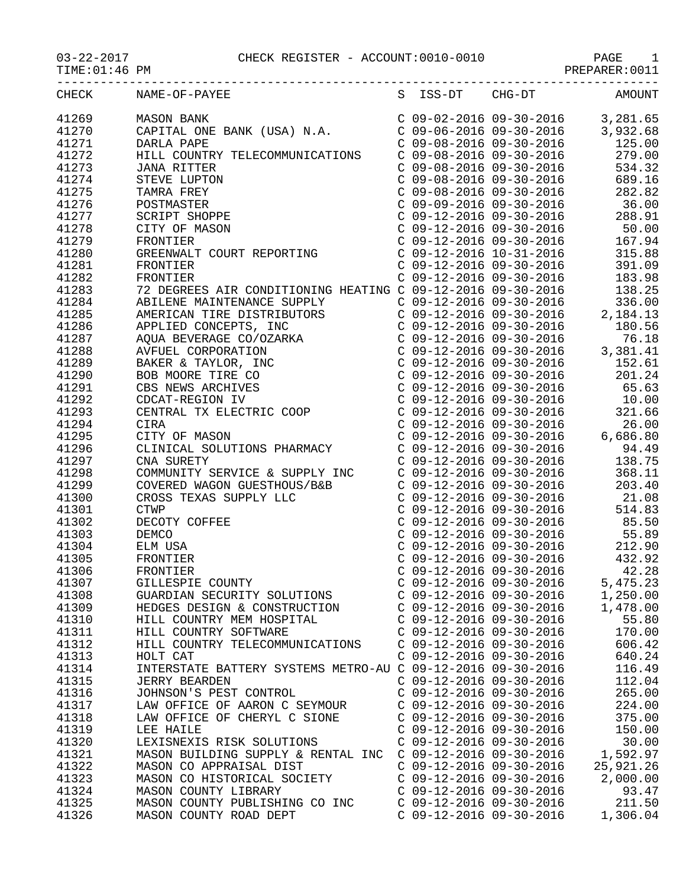## 03-22-2017 CHECK REGISTER - ACCOUNT:0010-0010 PAGE 1

PREPARER:0011

| CHECK | NAME-OF-PAYEE                                               |                           |                           | S ISS-DT CHG-DT AMOUNT |
|-------|-------------------------------------------------------------|---------------------------|---------------------------|------------------------|
| 41269 |                                                             |                           |                           |                        |
| 41270 |                                                             |                           |                           |                        |
| 41271 |                                                             |                           |                           |                        |
| 41272 |                                                             |                           |                           |                        |
|       |                                                             |                           |                           |                        |
| 41273 |                                                             |                           |                           |                        |
| 41274 |                                                             |                           |                           |                        |
| 41275 |                                                             |                           |                           |                        |
| 41276 |                                                             |                           |                           |                        |
| 41277 |                                                             |                           |                           |                        |
| 41278 |                                                             |                           |                           |                        |
| 41279 |                                                             |                           |                           |                        |
| 41280 |                                                             |                           |                           |                        |
| 41281 |                                                             |                           |                           |                        |
| 41282 |                                                             |                           |                           |                        |
| 41283 |                                                             |                           |                           |                        |
| 41284 |                                                             |                           |                           |                        |
| 41285 |                                                             |                           |                           |                        |
|       |                                                             |                           |                           |                        |
| 41286 |                                                             |                           |                           |                        |
| 41287 |                                                             |                           |                           |                        |
| 41288 |                                                             |                           |                           |                        |
| 41289 |                                                             |                           |                           |                        |
| 41290 |                                                             |                           |                           |                        |
| 41291 |                                                             |                           |                           |                        |
| 41292 |                                                             |                           |                           |                        |
| 41293 |                                                             |                           |                           |                        |
| 41294 |                                                             |                           |                           |                        |
| 41295 |                                                             |                           |                           |                        |
| 41296 |                                                             |                           |                           |                        |
| 41297 |                                                             |                           |                           |                        |
| 41298 |                                                             |                           |                           |                        |
|       |                                                             |                           |                           |                        |
| 41299 |                                                             |                           |                           |                        |
| 41300 |                                                             |                           |                           |                        |
| 41301 |                                                             |                           |                           |                        |
| 41302 |                                                             |                           |                           |                        |
| 41303 |                                                             |                           |                           |                        |
| 41304 |                                                             |                           |                           |                        |
| 41305 | FRONTIER                                                    |                           |                           |                        |
| 41306 | FRONTIER                                                    |                           |                           |                        |
| 41307 | GILLESPIE COUNTY                                            |                           | $C$ 09-12-2016 09-30-2016 | 5,475.23               |
| 41308 | GUARDIAN SECURITY SOLUTIONS                                 | $C$ 09-12-2016 09-30-2016 |                           | 1,250.00               |
| 41309 | HEDGES DESIGN & CONSTRUCTION                                | $C$ 09-12-2016 09-30-2016 |                           | 1,478.00               |
| 41310 | HILL COUNTRY MEM HOSPITAL                                   | $C$ 09-12-2016 09-30-2016 |                           | 55.80                  |
| 41311 | HILL COUNTRY SOFTWARE                                       | $C$ 09-12-2016 09-30-2016 |                           | 170.00                 |
| 41312 | HILL COUNTRY TELECOMMUNICATIONS                             | $C$ 09-12-2016 09-30-2016 |                           | 606.42                 |
| 41313 | HOLT CAT                                                    | $C$ 09-12-2016 09-30-2016 |                           | 640.24                 |
|       |                                                             |                           |                           |                        |
| 41314 | INTERSTATE BATTERY SYSTEMS METRO-AU C 09-12-2016 09-30-2016 |                           |                           | 116.49                 |
| 41315 | <b>JERRY BEARDEN</b>                                        | $C$ 09-12-2016 09-30-2016 |                           | 112.04                 |
| 41316 | JOHNSON'S PEST CONTROL                                      | $C$ 09-12-2016 09-30-2016 |                           | 265.00                 |
| 41317 | LAW OFFICE OF AARON C SEYMOUR                               | $C$ 09-12-2016 09-30-2016 |                           | 224.00                 |
| 41318 | LAW OFFICE OF CHERYL C SIONE                                | $C$ 09-12-2016 09-30-2016 |                           | 375.00                 |
| 41319 | LEE HAILE                                                   | $C$ 09-12-2016 09-30-2016 |                           | 150.00                 |
| 41320 | LEXISNEXIS RISK SOLUTIONS                                   | $C$ 09-12-2016 09-30-2016 |                           | 30.00                  |
| 41321 | MASON BUILDING SUPPLY & RENTAL INC                          | $C$ 09-12-2016 09-30-2016 |                           | 1,592.97               |
| 41322 | MASON CO APPRAISAL DIST                                     | $C$ 09-12-2016 09-30-2016 |                           | 25,921.26              |
| 41323 | MASON CO HISTORICAL SOCIETY                                 | $C$ 09-12-2016 09-30-2016 |                           | 2,000.00               |
| 41324 | MASON COUNTY LIBRARY                                        | $C$ 09-12-2016 09-30-2016 |                           | 93.47                  |
| 41325 | MASON COUNTY PUBLISHING CO INC                              | $C$ 09-12-2016 09-30-2016 |                           | 211.50                 |
| 41326 | MASON COUNTY ROAD DEPT                                      | C 09-12-2016 09-30-2016   |                           | 1,306.04               |
|       |                                                             |                           |                           |                        |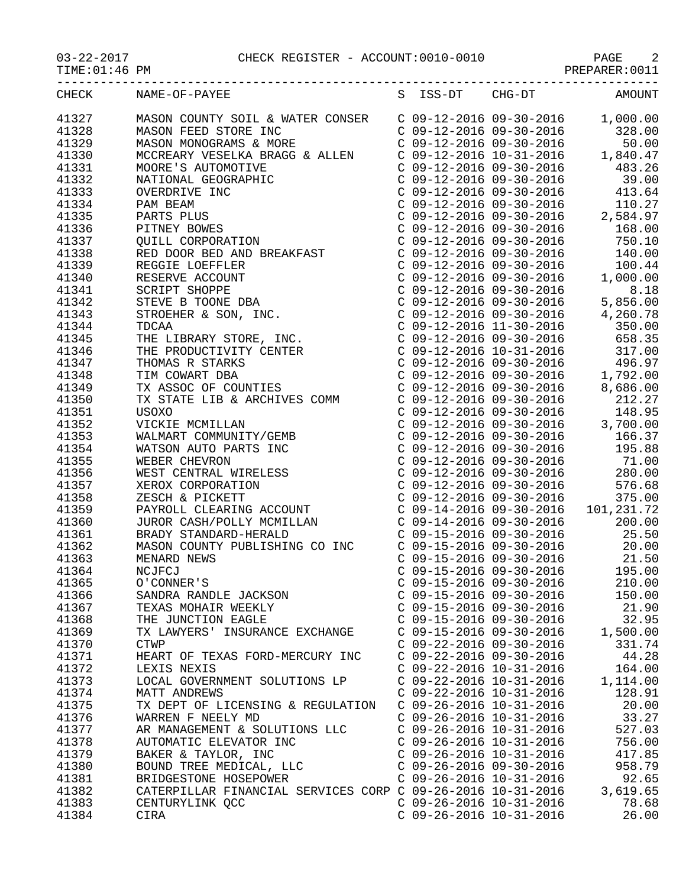PAGE 2 CHECK REGISTER - ACCOUNT:0010-0010

| $03 - 22 - 201$ |  |
|-----------------|--|
|                 |  |

 $TIME:01:46$  PM

| .<br>10. U U<br>۰ JIV.<br>IVI.<br>---- |  |
|----------------------------------------|--|
|                                        |  |

| CHECK | NAME-OF-PAYEE                                                                                                                                                                                                                                                             | S ISS-DT                  | CHG-DT                    | AMOUNT                                                                                                                                                                                                                                                                                                                                                        |
|-------|---------------------------------------------------------------------------------------------------------------------------------------------------------------------------------------------------------------------------------------------------------------------------|---------------------------|---------------------------|---------------------------------------------------------------------------------------------------------------------------------------------------------------------------------------------------------------------------------------------------------------------------------------------------------------------------------------------------------------|
| 41327 | MASON COUNTY SOIL & WATER CONSER                                                                                                                                                                                                                                          |                           |                           | $C$ 09-12-2016 09-30-2016 1,000.00                                                                                                                                                                                                                                                                                                                            |
| 41328 |                                                                                                                                                                                                                                                                           |                           |                           | 328.00                                                                                                                                                                                                                                                                                                                                                        |
| 41329 |                                                                                                                                                                                                                                                                           |                           |                           |                                                                                                                                                                                                                                                                                                                                                               |
| 41330 |                                                                                                                                                                                                                                                                           |                           |                           |                                                                                                                                                                                                                                                                                                                                                               |
| 41331 |                                                                                                                                                                                                                                                                           |                           |                           |                                                                                                                                                                                                                                                                                                                                                               |
| 41332 |                                                                                                                                                                                                                                                                           |                           |                           |                                                                                                                                                                                                                                                                                                                                                               |
| 41333 |                                                                                                                                                                                                                                                                           |                           |                           |                                                                                                                                                                                                                                                                                                                                                               |
| 41334 |                                                                                                                                                                                                                                                                           |                           |                           | C 09-12-2016 09-30-2016 110.27<br>C 09-12-2016 09-30-2016 2,584.97<br>C 09-12-2016 09-30-2016 168.00                                                                                                                                                                                                                                                          |
| 41335 |                                                                                                                                                                                                                                                                           |                           |                           |                                                                                                                                                                                                                                                                                                                                                               |
| 41336 |                                                                                                                                                                                                                                                                           |                           |                           |                                                                                                                                                                                                                                                                                                                                                               |
| 41337 |                                                                                                                                                                                                                                                                           |                           |                           |                                                                                                                                                                                                                                                                                                                                                               |
| 41338 |                                                                                                                                                                                                                                                                           |                           |                           |                                                                                                                                                                                                                                                                                                                                                               |
| 41339 |                                                                                                                                                                                                                                                                           |                           |                           |                                                                                                                                                                                                                                                                                                                                                               |
| 41340 |                                                                                                                                                                                                                                                                           |                           |                           |                                                                                                                                                                                                                                                                                                                                                               |
| 41341 |                                                                                                                                                                                                                                                                           |                           |                           |                                                                                                                                                                                                                                                                                                                                                               |
| 41342 |                                                                                                                                                                                                                                                                           |                           |                           | $\begin{array}{cccc} \texttt{C} & 09\texttt{-}12\texttt{-}2016 & 09\texttt{-}30\texttt{-}2016 & 100.44 \ \texttt{C} & 09\texttt{-}12\texttt{-}2016 & 09\texttt{-}30\texttt{-}2016 & 1,000.00 \ \texttt{C} & 09\texttt{-}12\texttt{-}2016 & 09\texttt{-}30\texttt{-}2016 & 8.18 \ \texttt{C} & 09\texttt{-}12\texttt{-}2016 & 09\texttt{-}30\texttt{-}2016 & $ |
| 41343 |                                                                                                                                                                                                                                                                           |                           |                           |                                                                                                                                                                                                                                                                                                                                                               |
| 41344 |                                                                                                                                                                                                                                                                           |                           |                           |                                                                                                                                                                                                                                                                                                                                                               |
| 41345 |                                                                                                                                                                                                                                                                           |                           |                           |                                                                                                                                                                                                                                                                                                                                                               |
| 41346 |                                                                                                                                                                                                                                                                           |                           |                           |                                                                                                                                                                                                                                                                                                                                                               |
| 41347 |                                                                                                                                                                                                                                                                           |                           |                           |                                                                                                                                                                                                                                                                                                                                                               |
| 41348 |                                                                                                                                                                                                                                                                           |                           |                           |                                                                                                                                                                                                                                                                                                                                                               |
| 41349 |                                                                                                                                                                                                                                                                           |                           |                           |                                                                                                                                                                                                                                                                                                                                                               |
| 41350 |                                                                                                                                                                                                                                                                           |                           |                           |                                                                                                                                                                                                                                                                                                                                                               |
| 41351 |                                                                                                                                                                                                                                                                           |                           |                           |                                                                                                                                                                                                                                                                                                                                                               |
| 41352 |                                                                                                                                                                                                                                                                           |                           |                           |                                                                                                                                                                                                                                                                                                                                                               |
| 41353 |                                                                                                                                                                                                                                                                           |                           |                           |                                                                                                                                                                                                                                                                                                                                                               |
| 41354 |                                                                                                                                                                                                                                                                           |                           |                           |                                                                                                                                                                                                                                                                                                                                                               |
| 41355 |                                                                                                                                                                                                                                                                           |                           |                           |                                                                                                                                                                                                                                                                                                                                                               |
| 41356 |                                                                                                                                                                                                                                                                           |                           |                           |                                                                                                                                                                                                                                                                                                                                                               |
| 41357 |                                                                                                                                                                                                                                                                           |                           |                           |                                                                                                                                                                                                                                                                                                                                                               |
| 41358 |                                                                                                                                                                                                                                                                           |                           |                           |                                                                                                                                                                                                                                                                                                                                                               |
| 41359 |                                                                                                                                                                                                                                                                           |                           |                           |                                                                                                                                                                                                                                                                                                                                                               |
| 41360 | JUROR CASH/POLLY MCMILLAN  C 09-14-2016 09-30-2016                                                                                                                                                                                                                        |                           |                           | 200.00                                                                                                                                                                                                                                                                                                                                                        |
| 41361 | BRADY STANDARD-HERALD<br>BRADY STANDARD-HERALD<br>MASON COUNTY PUBLISHING CO INC<br>MENARD NEWS<br>C 09-15-2016 09-30-2016<br>C 09-15-2016 09-30-2016<br>C 09-15-2016 09-30-2016<br>C 09-15-2016 09-30-2016<br>C 09-15-2016 09-30-2016<br>C 09-15-2016 09-30-2016<br>C 09 |                           |                           |                                                                                                                                                                                                                                                                                                                                                               |
| 41362 |                                                                                                                                                                                                                                                                           |                           |                           |                                                                                                                                                                                                                                                                                                                                                               |
| 41363 |                                                                                                                                                                                                                                                                           |                           |                           |                                                                                                                                                                                                                                                                                                                                                               |
| 41364 |                                                                                                                                                                                                                                                                           |                           |                           |                                                                                                                                                                                                                                                                                                                                                               |
| 41365 | O'CONNER'S                                                                                                                                                                                                                                                                |                           | C 09-15-2016 09-30-2016   | 210.00                                                                                                                                                                                                                                                                                                                                                        |
| 41366 | SANDRA RANDLE JACKSON                                                                                                                                                                                                                                                     |                           | $C$ 09-15-2016 09-30-2016 | 150.00                                                                                                                                                                                                                                                                                                                                                        |
| 41367 | TEXAS MOHAIR WEEKLY                                                                                                                                                                                                                                                       | $C$ 09-15-2016 09-30-2016 |                           | 21.90                                                                                                                                                                                                                                                                                                                                                         |
| 41368 | THE JUNCTION EAGLE                                                                                                                                                                                                                                                        | $C$ 09-15-2016 09-30-2016 |                           | 32.95                                                                                                                                                                                                                                                                                                                                                         |
| 41369 | TX LAWYERS' INSURANCE EXCHANGE                                                                                                                                                                                                                                            | $C$ 09-15-2016 09-30-2016 |                           | 1,500.00                                                                                                                                                                                                                                                                                                                                                      |
| 41370 | <b>CTWP</b>                                                                                                                                                                                                                                                               | $C$ 09-22-2016 09-30-2016 |                           | 331.74                                                                                                                                                                                                                                                                                                                                                        |
| 41371 | HEART OF TEXAS FORD-MERCURY INC                                                                                                                                                                                                                                           | $C$ 09-22-2016 09-30-2016 |                           | 44.28                                                                                                                                                                                                                                                                                                                                                         |
| 41372 | LEXIS NEXIS                                                                                                                                                                                                                                                               | $C$ 09-22-2016 10-31-2016 |                           | 164.00                                                                                                                                                                                                                                                                                                                                                        |
| 41373 | LOCAL GOVERNMENT SOLUTIONS LP                                                                                                                                                                                                                                             | $C$ 09-22-2016 10-31-2016 |                           | 1,114.00                                                                                                                                                                                                                                                                                                                                                      |
| 41374 | <b>MATT ANDREWS</b>                                                                                                                                                                                                                                                       | $C$ 09-22-2016 10-31-2016 |                           | 128.91                                                                                                                                                                                                                                                                                                                                                        |
| 41375 | TX DEPT OF LICENSING & REGULATION                                                                                                                                                                                                                                         | $C$ 09-26-2016 10-31-2016 |                           | 20.00                                                                                                                                                                                                                                                                                                                                                         |
| 41376 | WARREN F NEELY MD                                                                                                                                                                                                                                                         | $C$ 09-26-2016 10-31-2016 |                           | 33.27                                                                                                                                                                                                                                                                                                                                                         |
| 41377 | AR MANAGEMENT & SOLUTIONS LLC                                                                                                                                                                                                                                             | $C$ 09-26-2016 10-31-2016 |                           | 527.03                                                                                                                                                                                                                                                                                                                                                        |
| 41378 | AUTOMATIC ELEVATOR INC                                                                                                                                                                                                                                                    | $C$ 09-26-2016 10-31-2016 |                           | 756.00                                                                                                                                                                                                                                                                                                                                                        |
| 41379 | BAKER & TAYLOR, INC                                                                                                                                                                                                                                                       | $C$ 09-26-2016 10-31-2016 |                           | 417.85                                                                                                                                                                                                                                                                                                                                                        |
| 41380 | BOUND TREE MEDICAL, LLC                                                                                                                                                                                                                                                   | $C$ 09-26-2016 09-30-2016 |                           | 958.79                                                                                                                                                                                                                                                                                                                                                        |
| 41381 | BRIDGESTONE HOSEPOWER                                                                                                                                                                                                                                                     | $C$ 09-26-2016 10-31-2016 |                           | 92.65                                                                                                                                                                                                                                                                                                                                                         |
| 41382 | CATERPILLAR FINANCIAL SERVICES CORP C 09-26-2016 10-31-2016                                                                                                                                                                                                               |                           |                           | 3,619.65                                                                                                                                                                                                                                                                                                                                                      |
| 41383 | CENTURYLINK QCC                                                                                                                                                                                                                                                           | $C$ 09-26-2016 10-31-2016 |                           | 78.68                                                                                                                                                                                                                                                                                                                                                         |
| 41384 | CIRA                                                                                                                                                                                                                                                                      | $C$ 09-26-2016 10-31-2016 |                           | 26.00                                                                                                                                                                                                                                                                                                                                                         |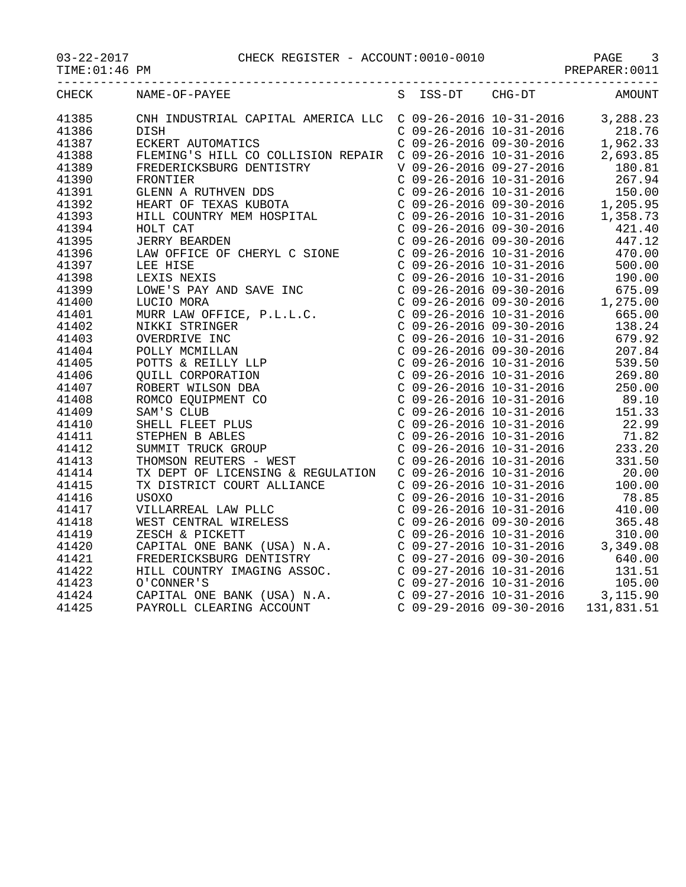## 03-22-2017 CHECK REGISTER - ACCOUNT:0010-0010 PAGE 3

| <b>CHECK</b> | NAME-OF-PAYEE                                                                                                                                                    |  | S ISS-DT CHG-DT | AMOUNT |
|--------------|------------------------------------------------------------------------------------------------------------------------------------------------------------------|--|-----------------|--------|
| 41385        | CNH INDUSTRIAL CAPITAL AMERICA LLC C 09-26-2016 10-31-2016 3,288.23<br>DISH C 09-26-2016 10-31-2016 218.76<br>ECKERT AUTOMATICS C 09-26-2016 09-30-2016 1,962.33 |  |                 |        |
| 41386        |                                                                                                                                                                  |  |                 |        |
| 41387        |                                                                                                                                                                  |  |                 |        |
| 41388        |                                                                                                                                                                  |  |                 |        |
| 41389        |                                                                                                                                                                  |  |                 |        |
| 41390        |                                                                                                                                                                  |  |                 |        |
| 41391        |                                                                                                                                                                  |  |                 |        |
| 41392        |                                                                                                                                                                  |  |                 |        |
| 41393        |                                                                                                                                                                  |  |                 |        |
| 41394        |                                                                                                                                                                  |  |                 |        |
| 41395        |                                                                                                                                                                  |  |                 |        |
| 41396        |                                                                                                                                                                  |  |                 |        |
| 41397        |                                                                                                                                                                  |  |                 |        |
| 41398        |                                                                                                                                                                  |  |                 |        |
| 41399        |                                                                                                                                                                  |  |                 |        |
| 41400        |                                                                                                                                                                  |  |                 |        |
| 41401        |                                                                                                                                                                  |  |                 |        |
| 41402        |                                                                                                                                                                  |  |                 |        |
| 41403        |                                                                                                                                                                  |  |                 |        |
| 41404        |                                                                                                                                                                  |  |                 |        |
| 41405        |                                                                                                                                                                  |  |                 |        |
| 41406        |                                                                                                                                                                  |  |                 |        |
| 41407        |                                                                                                                                                                  |  |                 |        |
| 41408        |                                                                                                                                                                  |  |                 |        |
| 41409        |                                                                                                                                                                  |  |                 |        |
| 41410        |                                                                                                                                                                  |  |                 |        |
| 41411        |                                                                                                                                                                  |  |                 |        |
| 41412        |                                                                                                                                                                  |  |                 |        |
| 41413        |                                                                                                                                                                  |  |                 |        |
| 41414        |                                                                                                                                                                  |  |                 |        |
| 41415        |                                                                                                                                                                  |  |                 |        |
| 41416        |                                                                                                                                                                  |  |                 |        |
| 41417        |                                                                                                                                                                  |  |                 |        |
| 41418        |                                                                                                                                                                  |  |                 |        |
| 41419        |                                                                                                                                                                  |  |                 |        |
| 41420        |                                                                                                                                                                  |  |                 |        |
| 41421        |                                                                                                                                                                  |  |                 |        |
| 41422        |                                                                                                                                                                  |  |                 |        |
| 41423        |                                                                                                                                                                  |  |                 |        |
| 41424        |                                                                                                                                                                  |  |                 |        |
| 41425        |                                                                                                                                                                  |  |                 |        |